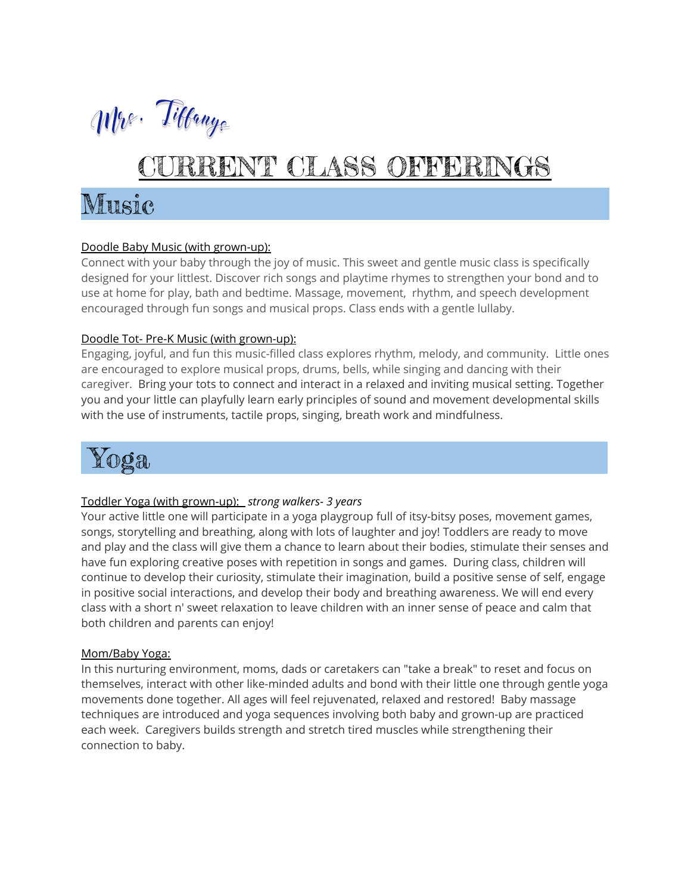

# RRENT CLASS OFFERINGS

## Music

### Doodle Baby Music (with grown-up):

Connect with your baby through the joy of music. This sweet and gentle music class is specifically designed for your littlest. Discover rich songs and playtime rhymes to strengthen your bond and to use at home for play, bath and bedtime. Massage, movement, rhythm, and speech development encouraged through fun songs and musical props. Class ends with a gentle lullaby.

### Doodle Tot- Pre-K Music (with grown-up):

Engaging, joyful, and fun this music-filled class explores rhythm, melody, and community. Little ones are encouraged to explore musical props, drums, bells, while singing and dancing with their caregiver. Bring your tots to connect and interact in a relaxed and inviting musical setting. Together you and your little can playfully learn early principles of sound and movement developmental skills with the use of instruments, tactile props, singing, breath work and mindfulness.



### Toddler Yoga (with grown-up): *strong walkers- 3 years*

Your active little one will participate in a yoga playgroup full of itsy-bitsy poses, movement games, songs, storytelling and breathing, along with lots of laughter and joy! Toddlers are ready to move and play and the class will give them a chance to learn about their bodies, stimulate their senses and have fun exploring creative poses with repetition in songs and games. During class, children will continue to develop their curiosity, stimulate their imagination, build a positive sense of self, engage in positive social interactions, and develop their body and breathing awareness. We will end every class with a short n' sweet relaxation to leave children with an inner sense of peace and calm that both children and parents can enjoy!

### Mom/Baby Yoga:

In this nurturing environment, moms, dads or caretakers can "take a break" to reset and focus on themselves, interact with other like-minded adults and bond with their little one through gentle yoga movements done together. All ages will feel rejuvenated, relaxed and restored! Baby massage techniques are introduced and yoga sequences involving both baby and grown-up are practiced each week. Caregivers builds strength and stretch tired muscles while strengthening their connection to baby.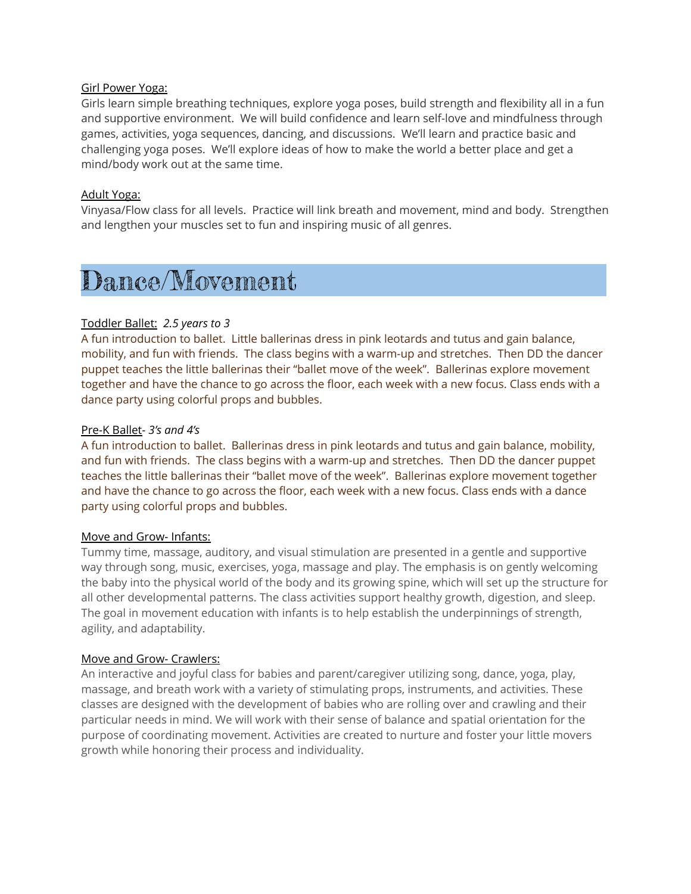### Girl Power Yoga:

Girls learn simple breathing techniques, explore yoga poses, build strength and flexibility all in a fun and supportive environment. We will build confidence and learn self-love and mindfulness through games, activities, yoga sequences, dancing, and discussions. We'll learn and practice basic and challenging yoga poses. We'll explore ideas of how to make the world a better place and get a mind/body work out at the same time.

### Adult Yoga:

Vinyasa/Flow class for all levels. Practice will link breath and movement, mind and body. Strengthen and lengthen your muscles set to fun and inspiring music of all genres.

### Dance/Movement

### Toddler Ballet: *2.5 years to 3*

A fun introduction to ballet. Little ballerinas dress in pink leotards and tutus and gain balance, mobility, and fun with friends. The class begins with a warm-up and stretches. Then DD the dancer puppet teaches the little ballerinas their "ballet move of the week". Ballerinas explore movement together and have the chance to go across the floor, each week with a new focus. Class ends with a dance party using colorful props and bubbles.

### Pre-K Ballet- *3's and 4's*

A fun introduction to ballet. Ballerinas dress in pink leotards and tutus and gain balance, mobility, and fun with friends. The class begins with a warm-up and stretches. Then DD the dancer puppet teaches the little ballerinas their "ballet move of the week". Ballerinas explore movement together and have the chance to go across the floor, each week with a new focus. Class ends with a dance party using colorful props and bubbles.

### Move and Grow- Infants:

Tummy time, massage, auditory, and visual stimulation are presented in a gentle and supportive way through song, music, exercises, yoga, massage and play. The emphasis is on gently welcoming the baby into the physical world of the body and its growing spine, which will set up the structure for all other developmental patterns. The class activities support healthy growth, digestion, and sleep. The goal in movement education with infants is to help establish the underpinnings of strength, agility, and adaptability.

### Move and Grow- Crawlers:

An interactive and joyful class for babies and parent/caregiver utilizing song, dance, yoga, play, massage, and breath work with a variety of stimulating props, instruments, and activities. These classes are designed with the development of babies who are rolling over and crawling and their particular needs in mind. We will work with their sense of balance and spatial orientation for the purpose of coordinating movement. Activities are created to nurture and foster your little movers growth while honoring their process and individuality.